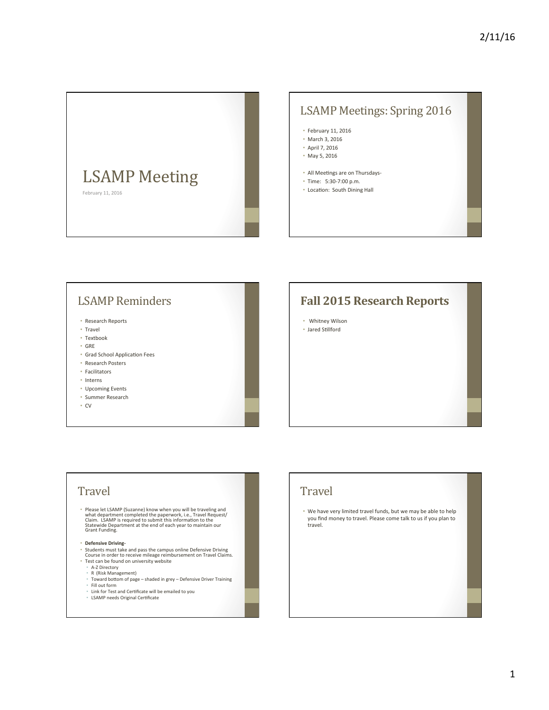

# LSAMP Meetings: Spring 2016

- February 11, 2016
- March 3, 2016
- April 7, 2016
- May 5, 2016
- All Meetings are on Thursdays-
- Time: 5:30-7:00 p.m.
- Location: South Dining Hall

# **LSAMP** Reminders

- Research Reports
- Travel
- Textbook
- GRE
- Grad School Application Fees
- Research Posters
- Facilitators
- Interns
- Upcoming Events
- Summer Research
- CV

#### **Fall 2015 Research Reports**

- Whitney Wilson
- Jared Stillford

#### **Travel**

• Please let LSAMP (Suzanne) know when you will be traveling and<br>what department completed the paperwork, i.e., Travel Request/<br>Claim. LSAMP is required to submit this information to the<br>Statewide Department at the end of

- 
- Defensive Driving-<br>• Students must take and pass the campus online Defensive Driving Course in order to receive mileage reimbursement on Travel Claims.<br>• Test can be found on university website
	-
	- A-Z Directory<br>• R (Risk Management)
	-
- Toward bottom of page shaded in grey Defensive Driver Training • Fill out form
- 
- Link for Test and Certificate will be emailed to you • LSAMP needs Original Cer9ficate

# **Travel**

• We have very limited travel funds, but we may be able to help you find money to travel. Please come talk to us if you plan to travel.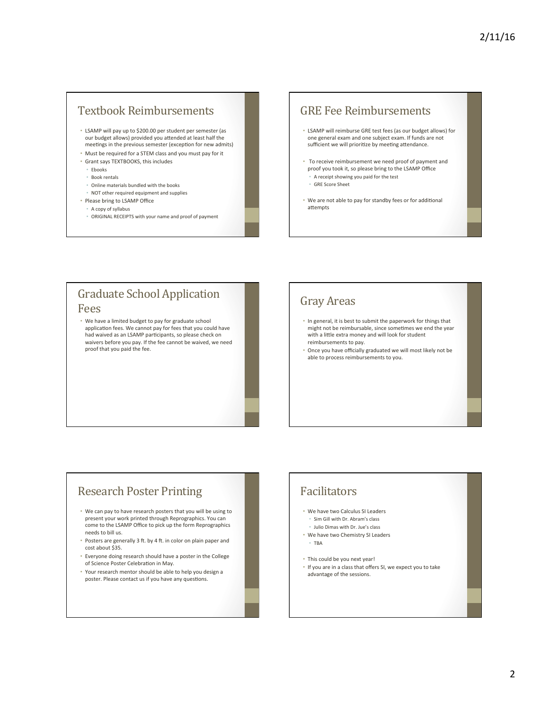# Textbook Reimbursements

- LSAMP will pay up to \$200.00 per student per semester (as our budget allows) provided you attended at least half the meetings in the previous semester (exception for new admits)
- Must be required for a STEM class and you must pay for it
- Grant says TEXTBOOKS, this includes
- Ebooks
- Book rentals
- Online materials bundled with the books
- NOT other required equipment and supplies
- Please bring to LSAMP Office
	- A copy of syllabus
	- ORIGINAL RECEIPTS with your name and proof of payment

#### **GRE Fee Reimbursements**

- LSAMP will reimburse GRE test fees (as our budget allows) for one general exam and one subject exam. If funds are not sufficient we will prioritize by meeting attendance.
- To receive reimbursement we need proof of payment and proof you took it, so please bring to the LSAMP Office • A receipt showing you paid for the test
	- **GRE** Score Sheet
- We are not able to pay for standby fees or for additional attempts

# **Graduate School Application**

#### Fees

• We have a limited budget to pay for graduate school application fees. We cannot pay for fees that you could have had waived as an LSAMP participants, so please check on waivers before you pay. If the fee cannot be waived, we need proof that you paid the fee.

#### Gray Areas

- In general, it is best to submit the paperwork for things that might not be reimbursable, since sometimes we end the year with a little extra money and will look for student reimbursements to pay.
- Once you have officially graduated we will most likely not be able to process reimbursements to you.

# **Research Poster Printing**

- We can pay to have research posters that you will be using to present your work printed through Reprographics. You can come to the LSAMP Office to pick up the form Reprographics needs to bill us.
- Posters are generally 3 ft, by 4 ft, in color on plain paper and cost about \$35.
- Everyone doing research should have a poster in the College of Science Poster Celebration in May.
- Your research mentor should be able to help you design a poster. Please contact us if you have any questions.

# Facilitators

- We have two Calculus SI Leaders
	- Sim Gill with Dr. Abram's class
	- Julio Dimas with Dr. Jue's class
- We have two Chemistry SI Leaders • TBA
- This could be you next year!
- If you are in a class that offers SI, we expect you to take advantage of the sessions.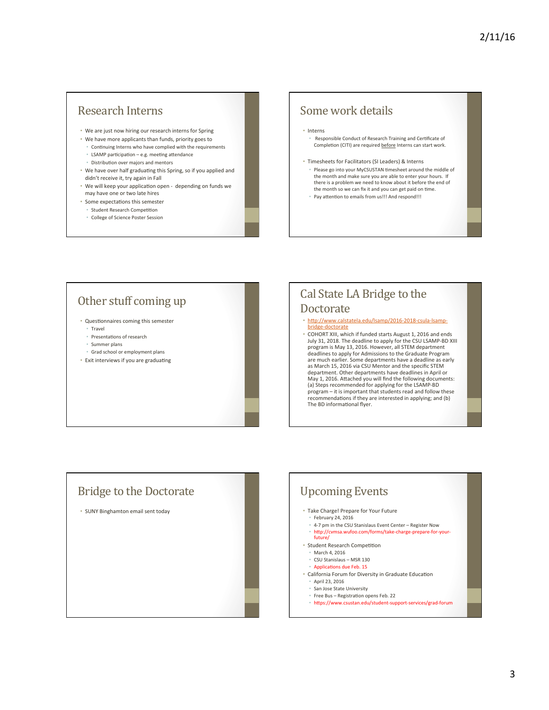### Research Interns

- We are just now hiring our research interns for Spring
- We have more applicants than funds, priority goes to
	- Continuing Interns who have complied with the requirements • LSAMP participation – e.g. meeting attendance
	- Distribution over majors and mentors
- We have over half graduating this Spring, so if you applied and didn't receive it, try again in Fall
- We will keep your application open depending on funds we may have one or two late hires
- Some expectations this semester
- Student Research Competition
- College of Science Poster Session

# Some work details

- Interns
	- Responsible Conduct of Research Training and Certificate of Completion (CITI) are required before Interns can start work.
- Timesheets for Facilitators (SI Leaders) & Interns • Please go into your MyCSUSTAN timesheet around the middle of the month and make sure you are able to enter your hours. If<br>there is a problem we need to know about it before the end of the month so we can fix it and you can get paid on time.
	- Pay attention to emails from us!!! And respond!!!

# Other stuff coming up

- Questionnaires coming this semester
	- Travel
	- Presentations of research
	- Summer plans
	- Grad school or employment plans
- Exit interviews if you are graduating

# Cal State LA Bridge to the Doctorate

#### • http://www.calstatela.edu/lsamp/2016-2018-csula-lsampbridge-doctorate

• COHORT XIII, which if funded starts August 1, 2016 and ends July 31, 2018. The deadline to apply for the CSU LSAMP-BD XIII program is May 13, 2016. However, all STEM department deadlines to apply for Admissions to the Graduate Program<br>are much earlier. Some departments have a deadline as early as March 15, 2016 via CSU Mentor and the specific STEM department. Other departments have deadlines in April or May 1, 2016. Attached you will find the following documents:<br>(a) Steps recommended for applying for the LSAMP-BD program – it is important that students read and follow these recommendations if they are interested in applying; and (b) The BD informational flyer.



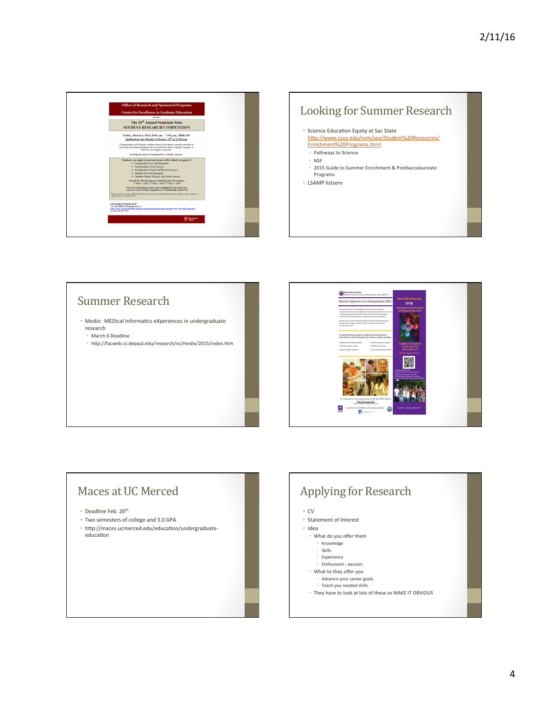



# Summer Research

- Medix: MEDical Informatics eXperiences in undergraduate research
	- March 6 Deadline
	- http://facweb.cs.depaul.edu/research/vc/medix/2015/index.htm



# Maces at UC Merced

- Deadline Feb. 26<sup>th</sup>
- Two semesters of college and 3.0 GPA
- http://maces.ucmerced.edu/education/undergraduateeducation

# Applying for Research • CV • Statement of Interest

- 
- Idea
- What do you offer them
	- Knowledge
- Skills
- Experience
- Enthusiasm passion
- What to they offer you • Advance your career goals
- Teach you needed skills
- They have to look at lots of these so MAKE IT OBVIOUS